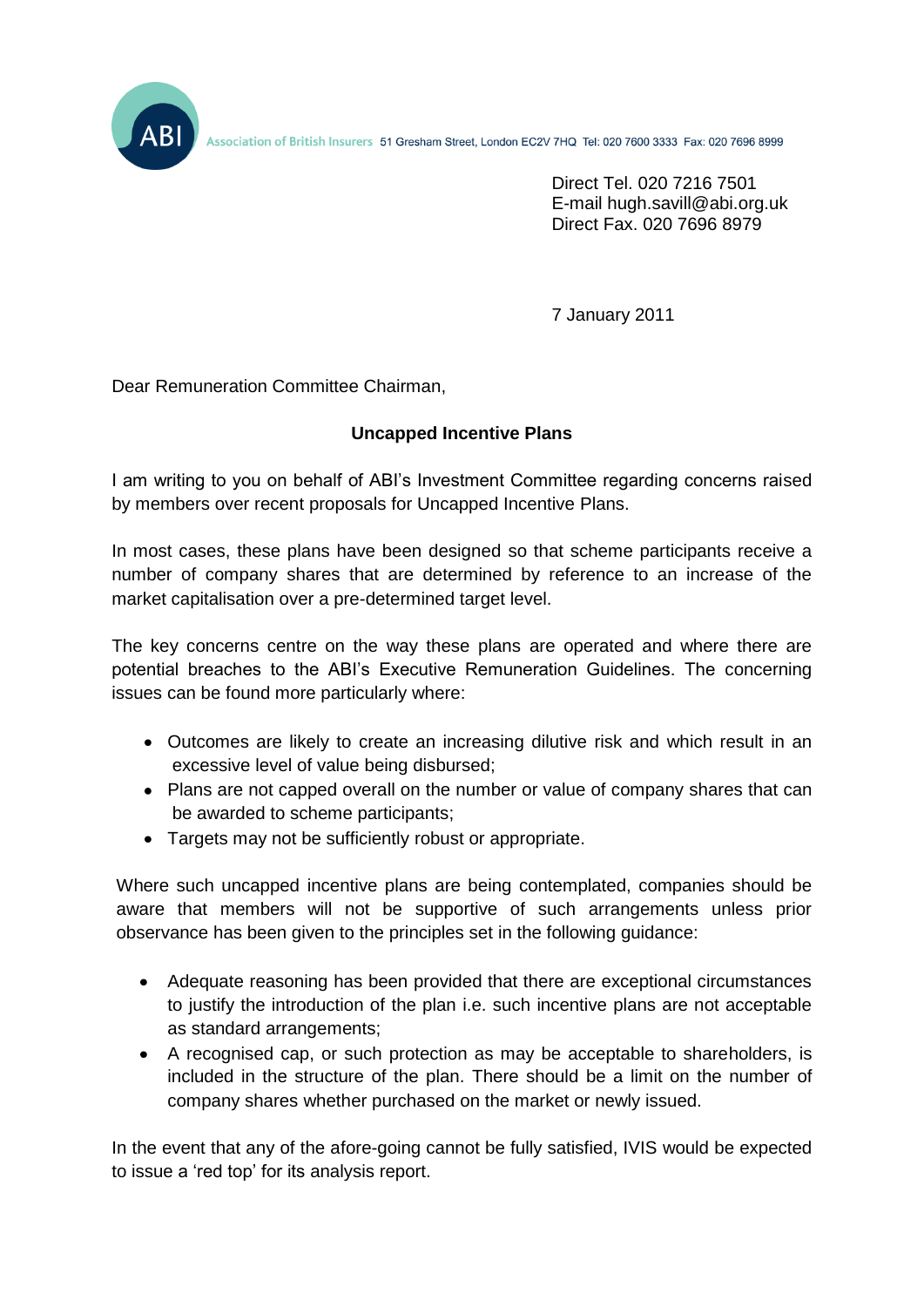Association of British Insurers 51 Gresham Street, London EC2V 7HQ Tel: 020 7600 3333 Fax: 020 7696 8999

Direct Tel. 020 7216 7501 E-mail hugh.savill@abi.org.uk Direct Fax. 020 7696 8979

7 January 2011

Dear Remuneration Committee Chairman,

## **Uncapped Incentive Plans**

I am writing to you on behalf of ABI's Investment Committee regarding concerns raised by members over recent proposals for Uncapped Incentive Plans.

In most cases, these plans have been designed so that scheme participants receive a number of company shares that are determined by reference to an increase of the market capitalisation over a pre-determined target level.

The key concerns centre on the way these plans are operated and where there are potential breaches to the ABI's Executive Remuneration Guidelines. The concerning issues can be found more particularly where:

- Outcomes are likely to create an increasing dilutive risk and which result in an excessive level of value being disbursed;
- Plans are not capped overall on the number or value of company shares that can be awarded to scheme participants;
- Targets may not be sufficiently robust or appropriate.

Where such uncapped incentive plans are being contemplated, companies should be aware that members will not be supportive of such arrangements unless prior observance has been given to the principles set in the following guidance:

- Adequate reasoning has been provided that there are exceptional circumstances to justify the introduction of the plan i.e. such incentive plans are not acceptable as standard arrangements;
- A recognised cap, or such protection as may be acceptable to shareholders, is included in the structure of the plan. There should be a limit on the number of company shares whether purchased on the market or newly issued.

In the event that any of the afore-going cannot be fully satisfied, IVIS would be expected to issue a 'red top' for its analysis report.